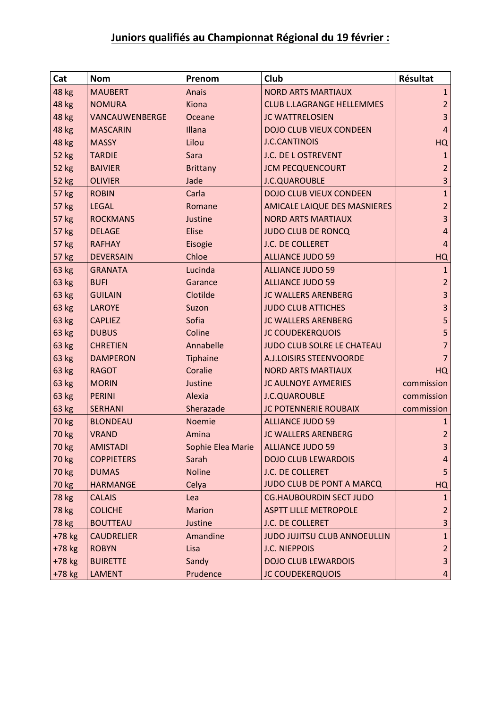## **Juniors qualifiés au Championnat Régional du 19 février :**

| Cat          | <b>Nom</b>        | Prenom            | Club                             | Résultat                |
|--------------|-------------------|-------------------|----------------------------------|-------------------------|
| 48 kg        | <b>MAUBERT</b>    | Anais             | <b>NORD ARTS MARTIAUX</b>        | $\mathbf{1}$            |
| 48 kg        | <b>NOMURA</b>     | Kiona             | <b>CLUB L.LAGRANGE HELLEMMES</b> | $\overline{2}$          |
| 48 kg        | VANCAUWENBERGE    | Oceane            | <b>JC WATTRELOSIEN</b>           | $\overline{3}$          |
| 48 kg        | <b>MASCARIN</b>   | Illana            | <b>DOJO CLUB VIEUX CONDEEN</b>   | $\overline{4}$          |
| 48 kg        | <b>MASSY</b>      | Lilou             | <b>J.C.CANTINOIS</b>             | HQ                      |
| 52 kg        | <b>TARDIE</b>     | Sara              | J.C. DE L OSTREVENT              | 1                       |
| <b>52 kg</b> | <b>BAIVIER</b>    | <b>Brittany</b>   | <b>JCM PECQUENCOURT</b>          | $\overline{2}$          |
| 52 kg        | <b>OLIVIER</b>    | Jade              | <b>J.C.QUAROUBLE</b>             | 3                       |
| <b>57 kg</b> | <b>ROBIN</b>      | Carla             | <b>DOJO CLUB VIEUX CONDEEN</b>   | $\mathbf{1}$            |
| 57 kg        | <b>LEGAL</b>      | Romane            | AMICALE LAIQUE DES MASNIERES     | $\overline{2}$          |
| 57 kg        | <b>ROCKMANS</b>   | Justine           | <b>NORD ARTS MARTIAUX</b>        | $\overline{\mathbf{3}}$ |
| 57 kg        | <b>DELAGE</b>     | <b>Elise</b>      | <b>JUDO CLUB DE RONCQ</b>        | 4                       |
| 57 kg        | <b>RAFHAY</b>     | Eisogie           | J.C. DE COLLERET                 | $\overline{4}$          |
| 57 kg        | <b>DEVERSAIN</b>  | Chloe             | <b>ALLIANCE JUDO 59</b>          | HQ                      |
| 63 kg        | <b>GRANATA</b>    | Lucinda           | <b>ALLIANCE JUDO 59</b>          | $\mathbf{1}$            |
| 63 kg        | <b>BUFI</b>       | Garance           | <b>ALLIANCE JUDO 59</b>          | $\overline{2}$          |
| 63 kg        | <b>GUILAIN</b>    | Clotilde          | <b>JC WALLERS ARENBERG</b>       | $\overline{\mathbf{3}}$ |
| 63 kg        | <b>LAROYE</b>     | Suzon             | <b>JUDO CLUB ATTICHES</b>        | 3                       |
| 63 kg        | <b>CAPLIEZ</b>    | Sofia             | <b>JC WALLERS ARENBERG</b>       | 5                       |
| 63 kg        | <b>DUBUS</b>      | Coline            | <b>JC COUDEKERQUOIS</b>          | 5                       |
| 63 kg        | <b>CHRETIEN</b>   | Annabelle         | JUDO CLUB SOLRE LE CHATEAU       | $\overline{7}$          |
| 63 kg        | <b>DAMPERON</b>   | Tiphaine          | A.J.LOISIRS STEENVOORDE          | $\overline{7}$          |
| 63 kg        | <b>RAGOT</b>      | Coralie           | <b>NORD ARTS MARTIAUX</b>        | <b>HQ</b>               |
| 63 kg        | <b>MORIN</b>      | Justine           | <b>JC AULNOYE AYMERIES</b>       | commission              |
| 63 kg        | <b>PERINI</b>     | Alexia            | <b>J.C.QUAROUBLE</b>             | commission              |
| 63 kg        | <b>SERHANI</b>    | Sherazade         | <b>JC POTENNERIE ROUBAIX</b>     | commission              |
| 70 kg        | <b>BLONDEAU</b>   | Noemie            | <b>ALLIANCE JUDO 59</b>          | 1                       |
| <b>70 kg</b> | <b>VRAND</b>      | Amina             | <b>JC WALLERS ARENBERG</b>       | $\overline{2}$          |
| 70 kg        | <b>AMISTADI</b>   | Sophie Elea Marie | ALLIANCE JUDO 59                 | $\overline{3}$          |
| 70 kg        | <b>COPPIETERS</b> | Sarah             | <b>DOJO CLUB LEWARDOIS</b>       | 4                       |
| 70 kg        | <b>DUMAS</b>      | <b>Noline</b>     | J.C. DE COLLERET                 | 5                       |
| 70 kg        | <b>HARMANGE</b>   | Celya             | JUDO CLUB DE PONT A MARCQ        | HQ                      |
| 78 kg        | <b>CALAIS</b>     | Lea               | <b>CG.HAUBOURDIN SECT JUDO</b>   | $\mathbf{1}$            |
| 78 kg        | <b>COLICHE</b>    | <b>Marion</b>     | <b>ASPTT LILLE METROPOLE</b>     | $\overline{2}$          |
| 78 kg        | <b>BOUTTEAU</b>   | Justine           | J.C. DE COLLERET                 | 3                       |
| $+78$ kg     | <b>CAUDRELIER</b> | Amandine          | JUDO JUJITSU CLUB ANNOEULLIN     | $\mathbf 1$             |
| +78 kg       | <b>ROBYN</b>      | Lisa              | <b>J.C. NIEPPOIS</b>             | $\overline{2}$          |
| $+78$ kg     | <b>BUIRETTE</b>   | Sandy             | <b>DOJO CLUB LEWARDOIS</b>       | $\overline{\mathbf{3}}$ |
| +78 kg       | <b>LAMENT</b>     | Prudence          | <b>JC COUDEKERQUOIS</b>          | 4                       |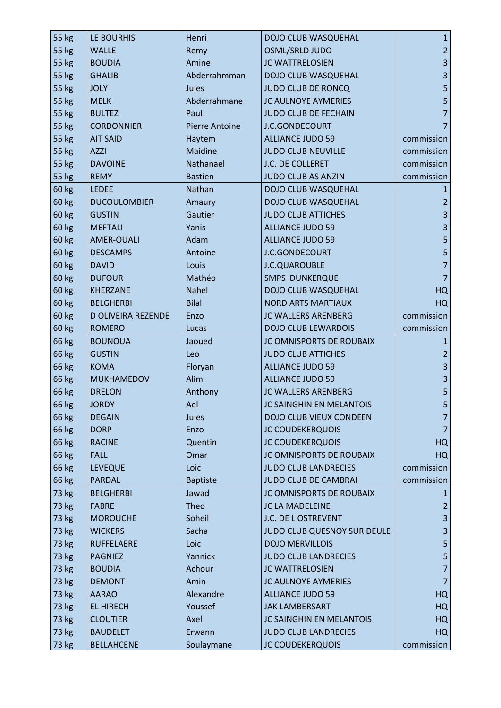| 55 kg        | LE BOURHIS          | Henri                 | DOJO CLUB WASQUEHAL         | $\mathbf{1}$            |
|--------------|---------------------|-----------------------|-----------------------------|-------------------------|
| 55 kg        | <b>WALLE</b>        | Remy                  | OSML/SRLD JUDO              | $\overline{2}$          |
| 55 kg        | <b>BOUDIA</b>       | Amine                 | <b>JC WATTRELOSIEN</b>      | $\overline{\mathbf{3}}$ |
| 55 kg        | <b>GHALIB</b>       | Abderrahmman          | DOJO CLUB WASQUEHAL         | $\overline{\mathbf{3}}$ |
| 55 kg        | <b>JOLY</b>         | Jules                 | <b>JUDO CLUB DE RONCQ</b>   | 5                       |
| 55 kg        | <b>MELK</b>         | Abderrahmane          | <b>JC AULNOYE AYMERIES</b>  | 5                       |
| 55 kg        | <b>BULTEZ</b>       | Paul                  | JUDO CLUB DE FECHAIN        | $\overline{7}$          |
| 55 kg        | <b>CORDONNIER</b>   | <b>Pierre Antoine</b> | J.C.GONDECOURT              | 7                       |
| 55 kg        | <b>AIT SAID</b>     | Haytem                | <b>ALLIANCE JUDO 59</b>     | commission              |
| 55 kg        | <b>AZZI</b>         | Maidine               | <b>JUDO CLUB NEUVILLE</b>   | commission              |
| 55 kg        | <b>DAVOINE</b>      | Nathanael             | J.C. DE COLLERET            | commission              |
| 55 kg        | <b>REMY</b>         | <b>Bastien</b>        | JUDO CLUB AS ANZIN          | commission              |
| 60 kg        | <b>LEDEE</b>        | Nathan                | DOJO CLUB WASQUEHAL         | 1                       |
| 60 kg        | <b>DUCOULOMBIER</b> | Amaury                | DOJO CLUB WASQUEHAL         | $\overline{a}$          |
| 60 kg        | <b>GUSTIN</b>       | Gautier               | <b>JUDO CLUB ATTICHES</b>   | $\overline{\mathbf{3}}$ |
| <b>60 kg</b> | <b>MEFTALI</b>      | Yanis                 | <b>ALLIANCE JUDO 59</b>     | $\overline{\mathbf{3}}$ |
| 60 kg        | AMER-OUALI          | Adam                  | <b>ALLIANCE JUDO 59</b>     | 5                       |
| 60 kg        | <b>DESCAMPS</b>     | Antoine               | J.C.GONDECOURT              | 5                       |
| 60 kg        | <b>DAVID</b>        | Louis                 | J.C.QUAROUBLE               | $\overline{7}$          |
| 60 kg        | <b>DUFOUR</b>       | Mathéo                | <b>SMPS DUNKERQUE</b>       | $\overline{7}$          |
| 60 kg        | <b>KHERZANE</b>     | Nahel                 | DOJO CLUB WASQUEHAL         | HQ                      |
| 60 kg        | <b>BELGHERBI</b>    | <b>Bilal</b>          | <b>NORD ARTS MARTIAUX</b>   | HQ                      |
| 60 kg        | D OLIVEIRA REZENDE  | Enzo                  | <b>JC WALLERS ARENBERG</b>  | commission              |
| <b>60 kg</b> | <b>ROMERO</b>       | Lucas                 | <b>DOJO CLUB LEWARDOIS</b>  | commission              |
| 66 kg        | <b>BOUNOUA</b>      | Jaoued                | JC OMNISPORTS DE ROUBAIX    | 1                       |
| 66 kg        | <b>GUSTIN</b>       | Leo                   | <b>JUDO CLUB ATTICHES</b>   | $\overline{2}$          |
| 66 kg        | <b>KOMA</b>         | Floryan               | <b>ALLIANCE JUDO 59</b>     | $\overline{\mathbf{3}}$ |
| 66 kg        | <b>MUKHAMEDOV</b>   | Alim                  | <b>ALLIANCE JUDO 59</b>     | $\overline{\mathbf{3}}$ |
| 66 kg        | <b>DRELON</b>       | Anthony               | <b>JC WALLERS ARENBERG</b>  | 5                       |
| 66 kg        | <b>JORDY</b>        | Ael                   | JC SAINGHIN EN MELANTOIS    | 5                       |
| 66 kg        | <b>DEGAIN</b>       | Jules                 | DOJO CLUB VIEUX CONDEEN     | 7                       |
| 66 kg        | <b>DORP</b>         | Enzo                  | <b>JC COUDEKERQUOIS</b>     | 7                       |
| 66 kg        | <b>RACINE</b>       | Quentin               | <b>JC COUDEKERQUOIS</b>     | HQ                      |
| 66 kg        | <b>FALL</b>         | Omar                  | JC OMNISPORTS DE ROUBAIX    | HQ                      |
| 66 kg        | <b>LEVEQUE</b>      | Loic                  | <b>JUDO CLUB LANDRECIES</b> | commission              |
| 66 kg        | <b>PARDAL</b>       | <b>Baptiste</b>       | <b>JUDO CLUB DE CAMBRAI</b> | commission              |
| 73 kg        | <b>BELGHERBI</b>    | Jawad                 | JC OMNISPORTS DE ROUBAIX    | 1                       |
| 73 kg        | <b>FABRE</b>        | Theo                  | <b>JC LA MADELEINE</b>      | $\overline{2}$          |
| 73 kg        | <b>MOROUCHE</b>     | Soheil                | J.C. DE L OSTREVENT         | $\overline{\mathbf{3}}$ |
| 73 kg        | <b>WICKERS</b>      | Sacha                 | JUDO CLUB QUESNOY SUR DEULE | $\mathsf 3$             |
| 73 kg        | <b>RUFFELAERE</b>   | Loic                  | <b>DOJO MERVILLOIS</b>      | 5                       |
| 73 kg        | <b>PAGNIEZ</b>      | Yannick               | <b>JUDO CLUB LANDRECIES</b> | 5                       |
| 73 kg        | <b>BOUDIA</b>       | Achour                | <b>JC WATTRELOSIEN</b>      | 7                       |
| 73 kg        | <b>DEMONT</b>       | Amin                  | <b>JC AULNOYE AYMERIES</b>  | 7                       |
| 73 kg        | <b>AARAO</b>        | Alexandre             | <b>ALLIANCE JUDO 59</b>     | HQ                      |
| 73 kg        | <b>EL HIRECH</b>    | Youssef               | <b>JAK LAMBERSART</b>       | HQ                      |
| 73 kg        | <b>CLOUTIER</b>     | Axel                  | JC SAINGHIN EN MELANTOIS    | HQ                      |
| 73 kg        | <b>BAUDELET</b>     | Erwann                | <b>JUDO CLUB LANDRECIES</b> | HQ                      |
| 73 kg        | <b>BELLAHCENE</b>   | Soulaymane            | <b>JC COUDEKERQUOIS</b>     | commission              |